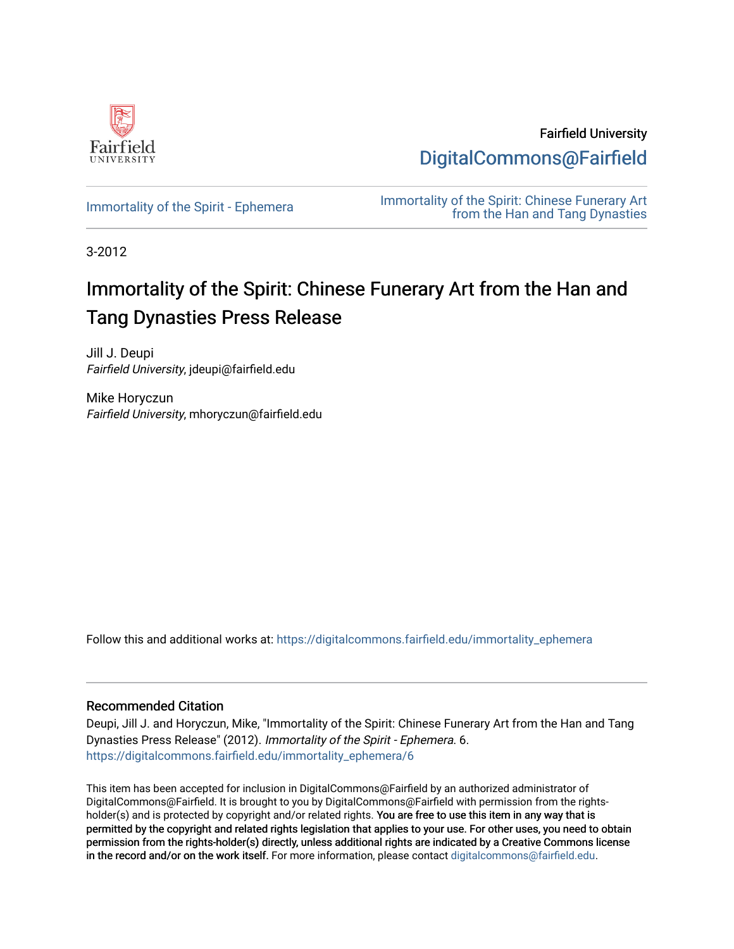

Fairfield University [DigitalCommons@Fairfield](https://digitalcommons.fairfield.edu/) 

[Immortality of the Spirit - Ephemera](https://digitalcommons.fairfield.edu/immortality_ephemera) **Immortality of the Spirit: Chinese Funerary Art** [from the Han and Tang Dynasties](https://digitalcommons.fairfield.edu/immortality) 

3-2012

## Immortality of the Spirit: Chinese Funerary Art from the Han and Tang Dynasties Press Release

Jill J. Deupi Fairfield University, jdeupi@fairfield.edu

Mike Horyczun Fairfield University, mhoryczun@fairfield.edu

Follow this and additional works at: [https://digitalcommons.fairfield.edu/immortality\\_ephemera](https://digitalcommons.fairfield.edu/immortality_ephemera?utm_source=digitalcommons.fairfield.edu%2Fimmortality_ephemera%2F6&utm_medium=PDF&utm_campaign=PDFCoverPages) 

## Recommended Citation

Deupi, Jill J. and Horyczun, Mike, "Immortality of the Spirit: Chinese Funerary Art from the Han and Tang Dynasties Press Release" (2012). Immortality of the Spirit - Ephemera. 6. [https://digitalcommons.fairfield.edu/immortality\\_ephemera/6](https://digitalcommons.fairfield.edu/immortality_ephemera/6?utm_source=digitalcommons.fairfield.edu%2Fimmortality_ephemera%2F6&utm_medium=PDF&utm_campaign=PDFCoverPages)

This item has been accepted for inclusion in DigitalCommons@Fairfield by an authorized administrator of DigitalCommons@Fairfield. It is brought to you by DigitalCommons@Fairfield with permission from the rightsholder(s) and is protected by copyright and/or related rights. You are free to use this item in any way that is permitted by the copyright and related rights legislation that applies to your use. For other uses, you need to obtain permission from the rights-holder(s) directly, unless additional rights are indicated by a Creative Commons license in the record and/or on the work itself. For more information, please contact [digitalcommons@fairfield.edu.](mailto:digitalcommons@fairfield.edu)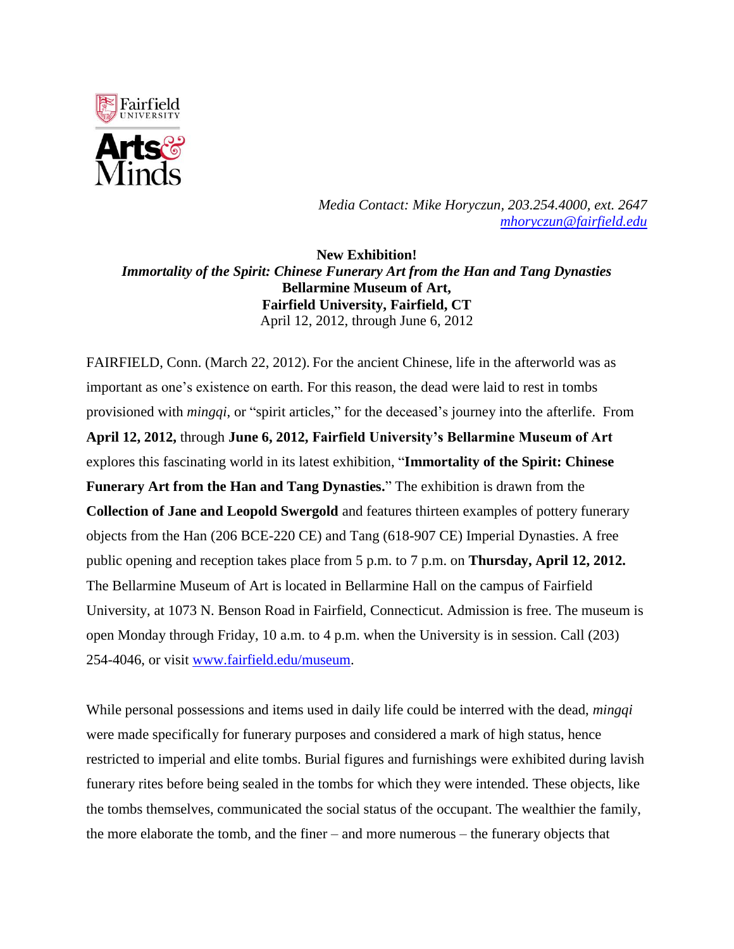

*Media Contact: Mike Horyczun, 203.254.4000, ext. 2647 [mhoryczun@fairfield.edu](mailto:mhoryczun@fairfield.edu)*

**New Exhibition!** *Immortality of the Spirit: Chinese Funerary Art from the Han and Tang Dynasties* **Bellarmine Museum of Art, Fairfield University, Fairfield, CT** April 12, 2012, through June 6, 2012

FAIRFIELD, Conn. (March 22, 2012). For the ancient Chinese, life in the afterworld was as important as one's existence on earth. For this reason, the dead were laid to rest in tombs provisioned with *mingqi*, or "spirit articles," for the deceased's journey into the afterlife. From **April 12, 2012,** through **June 6, 2012, Fairfield University's Bellarmine Museum of Art** explores this fascinating world in its latest exhibition, "**Immortality of the Spirit: Chinese Funerary Art from the Han and Tang Dynasties.**" The exhibition is drawn from the **Collection of Jane and Leopold Swergold** and features thirteen examples of pottery funerary objects from the Han (206 BCE-220 CE) and Tang (618-907 CE) Imperial Dynasties. A free public opening and reception takes place from 5 p.m. to 7 p.m. on **Thursday, April 12, 2012.**  The Bellarmine Museum of Art is located in Bellarmine Hall on the campus of Fairfield University, at 1073 N. Benson Road in Fairfield, Connecticut. Admission is free. The museum is open Monday through Friday, 10 a.m. to 4 p.m. when the University is in session. Call (203) 254-4046, or visit [www.fairfield.edu/museum.](http://www.fairfield.edu/museum)

While personal possessions and items used in daily life could be interred with the dead, *mingqi* were made specifically for funerary purposes and considered a mark of high status, hence restricted to imperial and elite tombs. Burial figures and furnishings were exhibited during lavish funerary rites before being sealed in the tombs for which they were intended. These objects, like the tombs themselves, communicated the social status of the occupant. The wealthier the family, the more elaborate the tomb, and the finer – and more numerous – the funerary objects that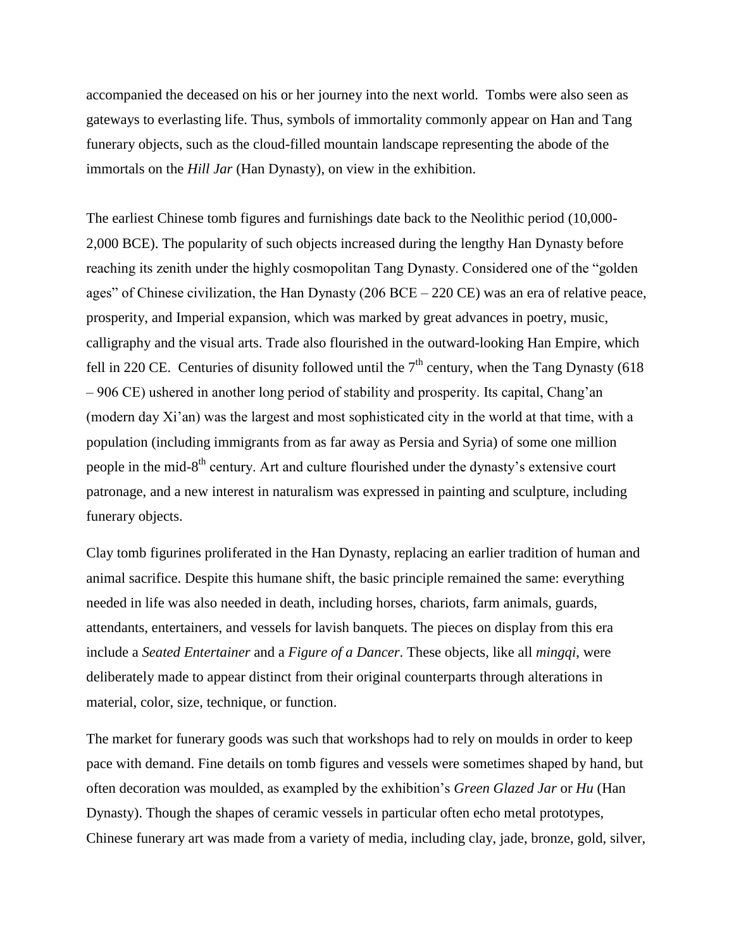accompanied the deceased on his or her journey into the next world. Tombs were also seen as gateways to everlasting life. Thus, symbols of immortality commonly appear on Han and Tang funerary objects, such as the cloud-filled mountain landscape representing the abode of the immortals on the *Hill Jar* (Han Dynasty), on view in the exhibition.

The earliest Chinese tomb figures and furnishings date back to the Neolithic period (10,000- 2,000 BCE). The popularity of such objects increased during the lengthy Han Dynasty before reaching its zenith under the highly cosmopolitan Tang Dynasty. Considered one of the "golden ages" of Chinese civilization, the Han Dynasty (206 BCE – 220 CE) was an era of relative peace, prosperity, and Imperial expansion, which was marked by great advances in poetry, music, calligraphy and the visual arts. Trade also flourished in the outward-looking Han Empire, which fell in 220 CE. Centuries of disunity followed until the  $7<sup>th</sup>$  century, when the Tang Dynasty (618) – 906 CE) ushered in another long period of stability and prosperity. Its capital, Chang'an (modern day Xi'an) was the largest and most sophisticated city in the world at that time, with a population (including immigrants from as far away as Persia and Syria) of some one million people in the mid-8<sup>th</sup> century. Art and culture flourished under the dynasty's extensive court patronage, and a new interest in naturalism was expressed in painting and sculpture, including funerary objects.

Clay tomb figurines proliferated in the Han Dynasty, replacing an earlier tradition of human and animal sacrifice. Despite this humane shift, the basic principle remained the same: everything needed in life was also needed in death, including horses, chariots, farm animals, guards, attendants, entertainers, and vessels for lavish banquets. The pieces on display from this era include a *Seated Entertainer* and a *Figure of a Dancer*. These objects, like all *mingqi*, were deliberately made to appear distinct from their original counterparts through alterations in material, color, size, technique, or function.

The market for funerary goods was such that workshops had to rely on moulds in order to keep pace with demand. Fine details on tomb figures and vessels were sometimes shaped by hand, but often decoration was moulded, as exampled by the exhibition's *Green Glazed Jar* or *Hu* (Han Dynasty). Though the shapes of ceramic vessels in particular often echo metal prototypes, Chinese funerary art was made from a variety of media, including clay, jade, bronze, gold, silver,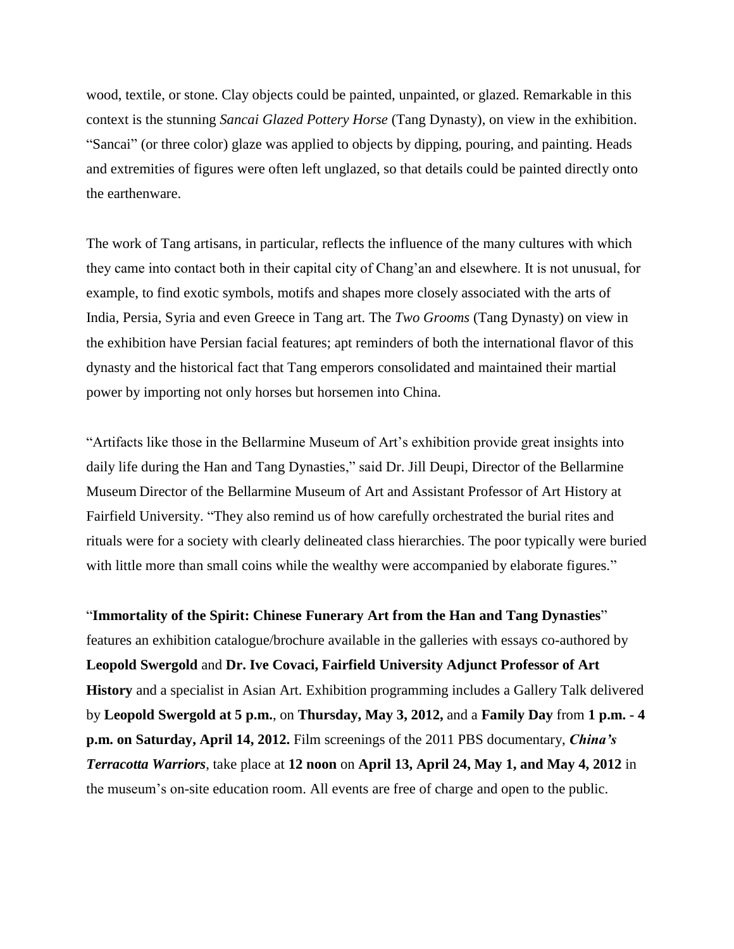wood, textile, or stone. Clay objects could be painted, unpainted, or glazed. Remarkable in this context is the stunning *Sancai Glazed Pottery Horse* (Tang Dynasty), on view in the exhibition. "Sancai" (or three color) glaze was applied to objects by dipping, pouring, and painting. Heads and extremities of figures were often left unglazed, so that details could be painted directly onto the earthenware.

The work of Tang artisans, in particular, reflects the influence of the many cultures with which they came into contact both in their capital city of Chang'an and elsewhere. It is not unusual, for example, to find exotic symbols, motifs and shapes more closely associated with the arts of India, Persia, Syria and even Greece in Tang art. The *Two Grooms* (Tang Dynasty) on view in the exhibition have Persian facial features; apt reminders of both the international flavor of this dynasty and the historical fact that Tang emperors consolidated and maintained their martial power by importing not only horses but horsemen into China.

"Artifacts like those in the Bellarmine Museum of Art's exhibition provide great insights into daily life during the Han and Tang Dynasties," said Dr. Jill Deupi, Director of the Bellarmine Museum Director of the Bellarmine Museum of Art and Assistant Professor of Art History at Fairfield University. "They also remind us of how carefully orchestrated the burial rites and rituals were for a society with clearly delineated class hierarchies. The poor typically were buried with little more than small coins while the wealthy were accompanied by elaborate figures."

"**Immortality of the Spirit: Chinese Funerary Art from the Han and Tang Dynasties**" features an exhibition catalogue/brochure available in the galleries with essays co-authored by **Leopold Swergold** and **Dr. Ive Covaci, Fairfield University Adjunct Professor of Art History** and a specialist in Asian Art. Exhibition programming includes a Gallery Talk delivered by **Leopold Swergold at 5 p.m.**, on **Thursday, May 3, 2012,** and a **Family Day** from **1 p.m. - 4 p.m. on Saturday, April 14, 2012.** Film screenings of the 2011 PBS documentary, *China's Terracotta Warriors*, take place at **12 noon** on **April 13, April 24, May 1, and May 4, 2012** in the museum's on-site education room. All events are free of charge and open to the public.